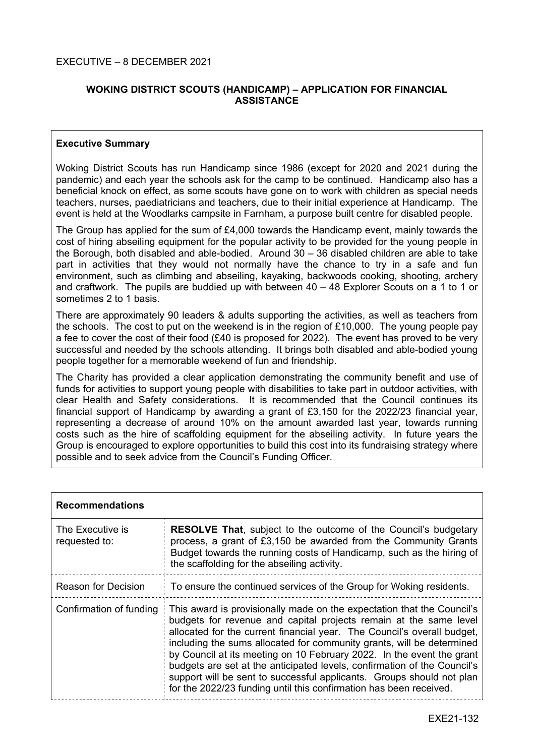## EXECUTIVE – 8 DECEMBER 2021

# **WOKING DISTRICT SCOUTS (HANDICAMP) – APPLICATION FOR FINANCIAL ASSISTANCE**

## **Executive Summary**

Woking District Scouts has run Handicamp since 1986 (except for 2020 and 2021 during the pandemic) and each year the schools ask for the camp to be continued. Handicamp also has a beneficial knock on effect, as some scouts have gone on to work with children as special needs teachers, nurses, paediatricians and teachers, due to their initial experience at Handicamp. The event is held at the Woodlarks campsite in Farnham, a purpose built centre for disabled people.

The Group has applied for the sum of £4,000 towards the Handicamp event, mainly towards the cost of hiring abseiling equipment for the popular activity to be provided for the young people in the Borough, both disabled and able-bodied. Around 30 – 36 disabled children are able to take part in activities that they would not normally have the chance to try in a safe and fun environment, such as climbing and abseiling, kayaking, backwoods cooking, shooting, archery and craftwork. The pupils are buddied up with between 40 – 48 Explorer Scouts on a 1 to 1 or sometimes 2 to 1 basis.

There are approximately 90 leaders & adults supporting the activities, as well as teachers from the schools. The cost to put on the weekend is in the region of £10,000. The young people pay a fee to cover the cost of their food (£40 is proposed for 2022). The event has proved to be very successful and needed by the schools attending. It brings both disabled and able-bodied young people together for a memorable weekend of fun and friendship.

The Charity has provided a clear application demonstrating the community benefit and use of funds for activities to support young people with disabilities to take part in outdoor activities, with clear Health and Safety considerations. It is recommended that the Council continues its financial support of Handicamp by awarding a grant of £3,150 for the 2022/23 financial year, representing a decrease of around 10% on the amount awarded last year, towards running costs such as the hire of scaffolding equipment for the abseiling activity. In future years the Group is encouraged to explore opportunities to build this cost into its fundraising strategy where possible and to seek advice from the Council's Funding Officer.

| <b>Recommendations</b>            |                                                                                                                                                                                                                                                                                                                                                                                                                                                                                                                                                                                                     |  |  |
|-----------------------------------|-----------------------------------------------------------------------------------------------------------------------------------------------------------------------------------------------------------------------------------------------------------------------------------------------------------------------------------------------------------------------------------------------------------------------------------------------------------------------------------------------------------------------------------------------------------------------------------------------------|--|--|
| The Executive is<br>requested to: | <b>RESOLVE That, subject to the outcome of the Council's budgetary</b><br>process, a grant of £3,150 be awarded from the Community Grants<br>Budget towards the running costs of Handicamp, such as the hiring of<br>the scaffolding for the abseiling activity.                                                                                                                                                                                                                                                                                                                                    |  |  |
| <b>Reason for Decision</b>        | To ensure the continued services of the Group for Woking residents.                                                                                                                                                                                                                                                                                                                                                                                                                                                                                                                                 |  |  |
| Confirmation of funding           | This award is provisionally made on the expectation that the Council's<br>budgets for revenue and capital projects remain at the same level<br>allocated for the current financial year. The Council's overall budget,<br>including the sums allocated for community grants, will be determined<br>by Council at its meeting on 10 February 2022. In the event the grant<br>budgets are set at the anticipated levels, confirmation of the Council's<br>support will be sent to successful applicants. Groups should not plan<br>for the 2022/23 funding until this confirmation has been received. |  |  |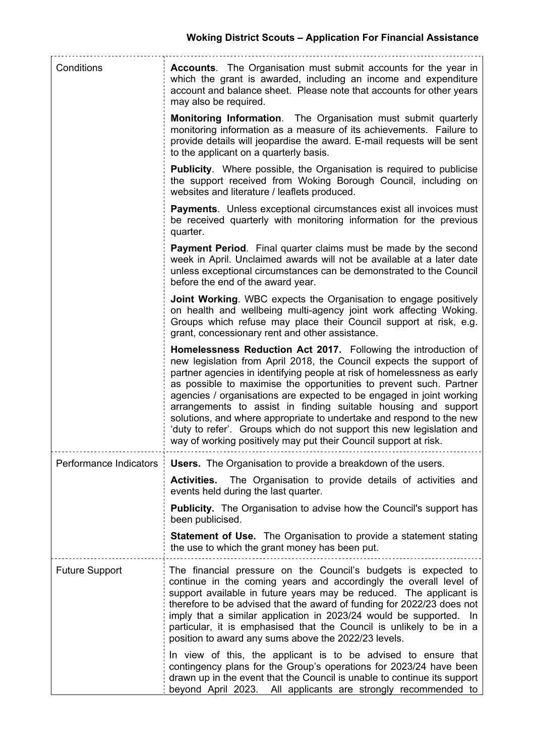| Conditions             | <b>Accounts.</b> The Organisation must submit accounts for the year in<br>which the grant is awarded, including an income and expenditure<br>account and balance sheet. Please note that accounts for other years<br>may also be required.                                                                                                                                                                                                                                                                                                                                                                                                            |
|------------------------|-------------------------------------------------------------------------------------------------------------------------------------------------------------------------------------------------------------------------------------------------------------------------------------------------------------------------------------------------------------------------------------------------------------------------------------------------------------------------------------------------------------------------------------------------------------------------------------------------------------------------------------------------------|
|                        | Monitoring Information. The Organisation must submit quarterly<br>monitoring information as a measure of its achievements. Failure to<br>provide details will jeopardise the award. E-mail requests will be sent<br>to the applicant on a quarterly basis.                                                                                                                                                                                                                                                                                                                                                                                            |
|                        | <b>Publicity.</b> Where possible, the Organisation is required to publicise<br>the support received from Woking Borough Council, including on<br>websites and literature / leaflets produced.                                                                                                                                                                                                                                                                                                                                                                                                                                                         |
|                        | <b>Payments.</b> Unless exceptional circumstances exist all invoices must<br>be received quarterly with monitoring information for the previous<br>quarter.                                                                                                                                                                                                                                                                                                                                                                                                                                                                                           |
|                        | <b>Payment Period.</b> Final quarter claims must be made by the second<br>week in April. Unclaimed awards will not be available at a later date<br>unless exceptional circumstances can be demonstrated to the Council<br>before the end of the award year.                                                                                                                                                                                                                                                                                                                                                                                           |
|                        | Joint Working. WBC expects the Organisation to engage positively<br>on health and wellbeing multi-agency joint work affecting Woking.<br>Groups which refuse may place their Council support at risk, e.g.<br>grant, concessionary rent and other assistance.                                                                                                                                                                                                                                                                                                                                                                                         |
|                        | Homelessness Reduction Act 2017. Following the introduction of<br>new legislation from April 2018, the Council expects the support of<br>partner agencies in identifying people at risk of homelessness as early<br>as possible to maximise the opportunities to prevent such. Partner<br>agencies / organisations are expected to be engaged in joint working<br>arrangements to assist in finding suitable housing and support<br>solutions, and where appropriate to undertake and respond to the new<br>'duty to refer'. Groups which do not support this new legislation and<br>way of working positively may put their Council support at risk. |
| Performance Indicators | <b>Users.</b> The Organisation to provide a breakdown of the users.<br>The Organisation to provide details of activities and<br><b>Activities.</b><br>events held during the last quarter.                                                                                                                                                                                                                                                                                                                                                                                                                                                            |
|                        | <b>Publicity.</b> The Organisation to advise how the Council's support has<br>been publicised.                                                                                                                                                                                                                                                                                                                                                                                                                                                                                                                                                        |
|                        | <b>Statement of Use.</b> The Organisation to provide a statement stating<br>the use to which the grant money has been put.                                                                                                                                                                                                                                                                                                                                                                                                                                                                                                                            |
| <b>Future Support</b>  | The financial pressure on the Council's budgets is expected to<br>continue in the coming years and accordingly the overall level of<br>support available in future years may be reduced. The applicant is<br>therefore to be advised that the award of funding for 2022/23 does not<br>imply that a similar application in 2023/24 would be supported. In<br>particular, it is emphasised that the Council is unlikely to be in a<br>position to award any sums above the 2022/23 levels.                                                                                                                                                             |
|                        | In view of this, the applicant is to be advised to ensure that<br>contingency plans for the Group's operations for 2023/24 have been<br>drawn up in the event that the Council is unable to continue its support<br>beyond April 2023. All applicants are strongly recommended to                                                                                                                                                                                                                                                                                                                                                                     |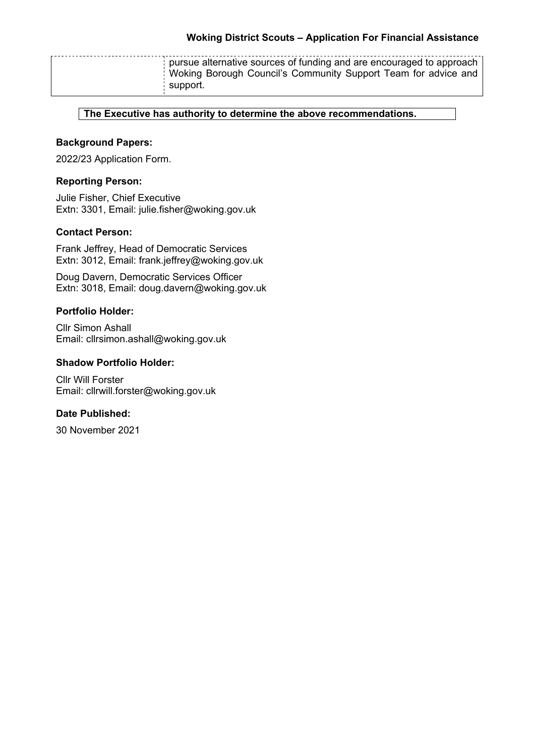| pursue alternative sources of funding and are encouraged to approach<br>Woking Borough Council's Community Support Team for advice and<br>support. |
|----------------------------------------------------------------------------------------------------------------------------------------------------|
|----------------------------------------------------------------------------------------------------------------------------------------------------|

# **The Executive has authority to determine the above recommendations.**

# **Background Papers:**

2022/23 Application Form.

## **Reporting Person:**

Julie Fisher, Chief Executive Extn: 3301, Email: julie.fisher@woking.gov.uk

# **Contact Person:**

Frank Jeffrey, Head of Democratic Services Extn: 3012, Email: frank.jeffrey@woking.gov.uk

Doug Davern, Democratic Services Officer Extn: 3018, Email: doug.davern@woking.gov.uk

## **Portfolio Holder:**

Cllr Simon Ashall Email: cllrsimon.ashall@woking.gov.uk

## **Shadow Portfolio Holder:**

Cllr Will Forster Email: cllrwill.forster@woking.gov.uk

# **Date Published:**

30 November 2021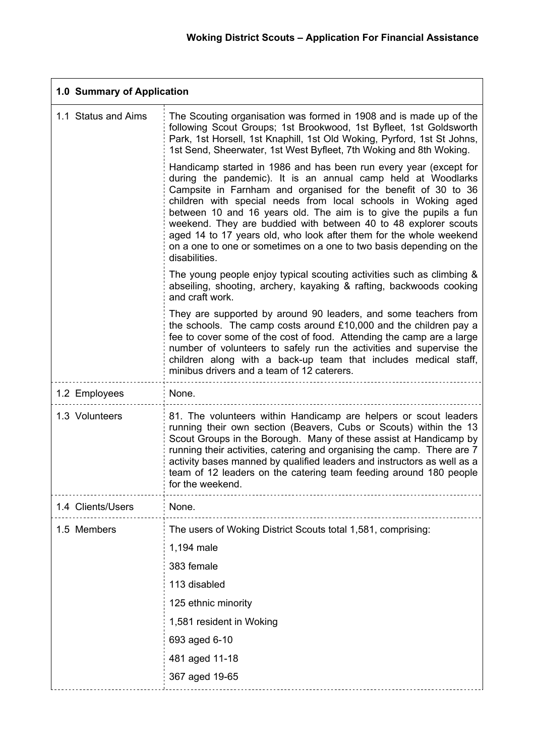L,

| 1.0 Summary of Application |                                                                                                                                                                                                                                                                                                                                                                                                                                                                                                                                                                          |  |
|----------------------------|--------------------------------------------------------------------------------------------------------------------------------------------------------------------------------------------------------------------------------------------------------------------------------------------------------------------------------------------------------------------------------------------------------------------------------------------------------------------------------------------------------------------------------------------------------------------------|--|
| 1.1 Status and Aims        | The Scouting organisation was formed in 1908 and is made up of the<br>following Scout Groups; 1st Brookwood, 1st Byfleet, 1st Goldsworth<br>Park, 1st Horsell, 1st Knaphill, 1st Old Woking, Pyrford, 1st St Johns,<br>1st Send, Sheerwater, 1st West Byfleet, 7th Woking and 8th Woking.                                                                                                                                                                                                                                                                                |  |
|                            | Handicamp started in 1986 and has been run every year (except for<br>during the pandemic). It is an annual camp held at Woodlarks<br>Campsite in Farnham and organised for the benefit of 30 to 36<br>children with special needs from local schools in Woking aged<br>between 10 and 16 years old. The aim is to give the pupils a fun<br>weekend. They are buddied with between 40 to 48 explorer scouts<br>aged 14 to 17 years old, who look after them for the whole weekend<br>on a one to one or sometimes on a one to two basis depending on the<br>disabilities. |  |
|                            | The young people enjoy typical scouting activities such as climbing &<br>abseiling, shooting, archery, kayaking & rafting, backwoods cooking<br>and craft work.                                                                                                                                                                                                                                                                                                                                                                                                          |  |
|                            | They are supported by around 90 leaders, and some teachers from<br>the schools. The camp costs around £10,000 and the children pay a<br>fee to cover some of the cost of food. Attending the camp are a large<br>number of volunteers to safely run the activities and supervise the<br>children along with a back-up team that includes medical staff,<br>minibus drivers and a team of 12 caterers.                                                                                                                                                                    |  |
| 1.2 Employees              | None.                                                                                                                                                                                                                                                                                                                                                                                                                                                                                                                                                                    |  |
| 1.3 Volunteers             | 81. The volunteers within Handicamp are helpers or scout leaders<br>running their own section (Beavers, Cubs or Scouts) within the 13<br>Scout Groups in the Borough. Many of these assist at Handicamp by<br>running their activities, catering and organising the camp. There are 7<br>activity bases manned by qualified leaders and instructors as well as a<br>team of 12 leaders on the catering team feeding around 180 people<br>for the weekend.                                                                                                                |  |
| 1.4 Clients/Users          | None.                                                                                                                                                                                                                                                                                                                                                                                                                                                                                                                                                                    |  |
| 1.5 Members                | The users of Woking District Scouts total 1,581, comprising:                                                                                                                                                                                                                                                                                                                                                                                                                                                                                                             |  |
|                            | 1,194 male                                                                                                                                                                                                                                                                                                                                                                                                                                                                                                                                                               |  |
|                            | 383 female                                                                                                                                                                                                                                                                                                                                                                                                                                                                                                                                                               |  |
|                            | 113 disabled                                                                                                                                                                                                                                                                                                                                                                                                                                                                                                                                                             |  |
|                            | 125 ethnic minority                                                                                                                                                                                                                                                                                                                                                                                                                                                                                                                                                      |  |
|                            | 1,581 resident in Woking                                                                                                                                                                                                                                                                                                                                                                                                                                                                                                                                                 |  |
|                            | 693 aged 6-10                                                                                                                                                                                                                                                                                                                                                                                                                                                                                                                                                            |  |
|                            | 481 aged 11-18                                                                                                                                                                                                                                                                                                                                                                                                                                                                                                                                                           |  |
|                            | 367 aged 19-65                                                                                                                                                                                                                                                                                                                                                                                                                                                                                                                                                           |  |

**r**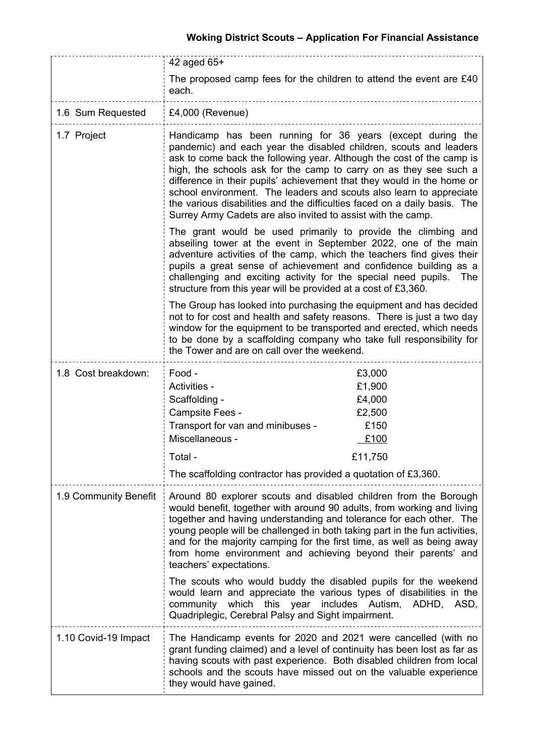|                       | 42 aged $65+$                                                                                                                                                                                                                                                                                                                                                                                                                                                                                                                                                                                                  |  |  |
|-----------------------|----------------------------------------------------------------------------------------------------------------------------------------------------------------------------------------------------------------------------------------------------------------------------------------------------------------------------------------------------------------------------------------------------------------------------------------------------------------------------------------------------------------------------------------------------------------------------------------------------------------|--|--|
|                       | The proposed camp fees for the children to attend the event are £40<br>each.                                                                                                                                                                                                                                                                                                                                                                                                                                                                                                                                   |  |  |
| 1.6 Sum Requested     | $£4,000$ (Revenue)                                                                                                                                                                                                                                                                                                                                                                                                                                                                                                                                                                                             |  |  |
| 1.7 Project           | Handicamp has been running for 36 years (except during the<br>pandemic) and each year the disabled children, scouts and leaders<br>ask to come back the following year. Although the cost of the camp is<br>high, the schools ask for the camp to carry on as they see such a<br>difference in their pupils' achievement that they would in the home or<br>school environment. The leaders and scouts also learn to appreciate<br>the various disabilities and the difficulties faced on a daily basis. The<br>Surrey Army Cadets are also invited to assist with the camp.                                    |  |  |
|                       | The grant would be used primarily to provide the climbing and<br>abseiling tower at the event in September 2022, one of the main<br>adventure activities of the camp, which the teachers find gives their<br>pupils a great sense of achievement and confidence building as a<br>challenging and exciting activity for the special need pupils.<br>The<br>structure from this year will be provided at a cost of £3,360.                                                                                                                                                                                       |  |  |
|                       | The Group has looked into purchasing the equipment and has decided<br>not to for cost and health and safety reasons. There is just a two day<br>window for the equipment to be transported and erected, which needs<br>to be done by a scaffolding company who take full responsibility for<br>the Tower and are on call over the weekend.                                                                                                                                                                                                                                                                     |  |  |
| 1.8 Cost breakdown:   | Food -<br>£3,000<br>£1,900<br>Activities -<br>Scaffolding -<br>£4,000<br>Campsite Fees -<br>£2,500<br>£150<br>Transport for van and minibuses -<br>Miscellaneous -<br>£100<br>£11,750<br>Total -<br>The scaffolding contractor has provided a quotation of £3,360.                                                                                                                                                                                                                                                                                                                                             |  |  |
| 1.9 Community Benefit | Around 80 explorer scouts and disabled children from the Borough<br>would benefit, together with around 90 adults, from working and living<br>together and having understanding and tolerance for each other. The<br>young people will be challenged in both taking part in the fun activities,<br>and for the majority camping for the first time, as well as being away<br>from home environment and achieving beyond their parents' and<br>teachers' expectations.<br>The scouts who would buddy the disabled pupils for the weekend<br>would learn and appreciate the various types of disabilities in the |  |  |
|                       | which this year<br>includes Autism, ADHD, ASD,<br>community<br>Quadriplegic, Cerebral Palsy and Sight impairment.                                                                                                                                                                                                                                                                                                                                                                                                                                                                                              |  |  |
| 1.10 Covid-19 Impact  | The Handicamp events for 2020 and 2021 were cancelled (with no<br>grant funding claimed) and a level of continuity has been lost as far as<br>having scouts with past experience. Both disabled children from local<br>schools and the scouts have missed out on the valuable experience<br>they would have gained.                                                                                                                                                                                                                                                                                            |  |  |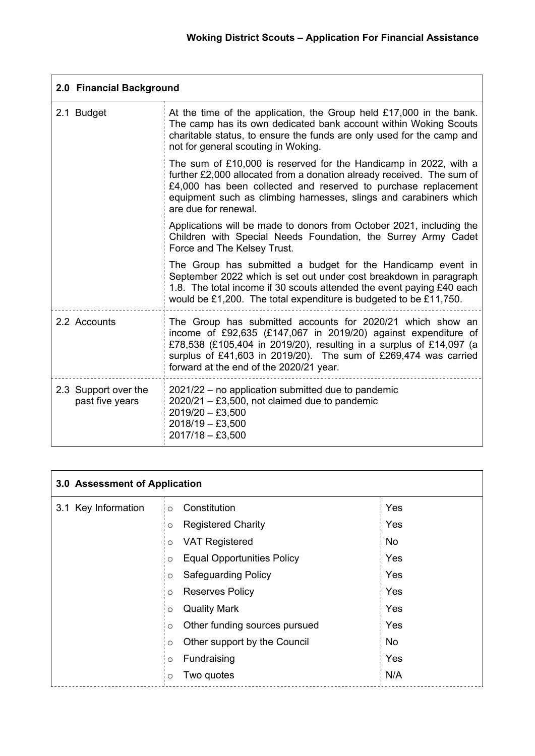| 2.0 Financial Background                |                                                                                                                                                                                                                                                                                                                   |  |  |
|-----------------------------------------|-------------------------------------------------------------------------------------------------------------------------------------------------------------------------------------------------------------------------------------------------------------------------------------------------------------------|--|--|
| 2.1 Budget                              | At the time of the application, the Group held £17,000 in the bank.<br>The camp has its own dedicated bank account within Woking Scouts<br>charitable status, to ensure the funds are only used for the camp and<br>not for general scouting in Woking.                                                           |  |  |
|                                         | The sum of £10,000 is reserved for the Handicamp in 2022, with a<br>further £2,000 allocated from a donation already received. The sum of<br>£4,000 has been collected and reserved to purchase replacement<br>equipment such as climbing harnesses, slings and carabiners which<br>are due for renewal.          |  |  |
|                                         | Applications will be made to donors from October 2021, including the<br>Children with Special Needs Foundation, the Surrey Army Cadet<br>Force and The Kelsey Trust.                                                                                                                                              |  |  |
|                                         | The Group has submitted a budget for the Handicamp event in<br>September 2022 which is set out under cost breakdown in paragraph<br>1.8. The total income if 30 scouts attended the event paying £40 each<br>would be £1,200. The total expenditure is budgeted to be £11,750.                                    |  |  |
| 2.2 Accounts                            | The Group has submitted accounts for 2020/21 which show an<br>income of £92,635 (£147,067 in 2019/20) against expenditure of<br>£78,538 (£105,404 in 2019/20), resulting in a surplus of £14,097 (a<br>surplus of £41,603 in 2019/20). The sum of £269,474 was carried<br>forward at the end of the 2020/21 year. |  |  |
| 2.3 Support over the<br>past five years | 2021/22 – no application submitted due to pandemic<br>$2020/21 - £3,500$ , not claimed due to pandemic<br>$2019/20 - £3,500$<br>$2018/19 - £3,500$<br>$2017/18 - £3,500$                                                                                                                                          |  |  |

| 3.0 Assessment of Application |                                              |           |  |
|-------------------------------|----------------------------------------------|-----------|--|
| 3.1 Key Information           | Constitution<br>$\circ$                      | Yes       |  |
|                               | <b>Registered Charity</b><br>O               | Yes       |  |
|                               | <b>VAT Registered</b><br>$\circ$             | No        |  |
|                               | <b>Equal Opportunities Policy</b><br>$\circ$ | Yes       |  |
|                               | <b>Safeguarding Policy</b><br>$\circ$        | Yes       |  |
|                               | <b>Reserves Policy</b><br>$\circ$            | Yes       |  |
|                               | <b>Quality Mark</b><br>$\circ$               | Yes       |  |
|                               | Other funding sources pursued<br>O           | Yes       |  |
|                               | Other support by the Council<br>$\circ$      | <b>No</b> |  |
|                               | Fundraising<br>$\circ$                       | Yes       |  |
|                               | Two quotes<br>$\circ$                        | N/A       |  |